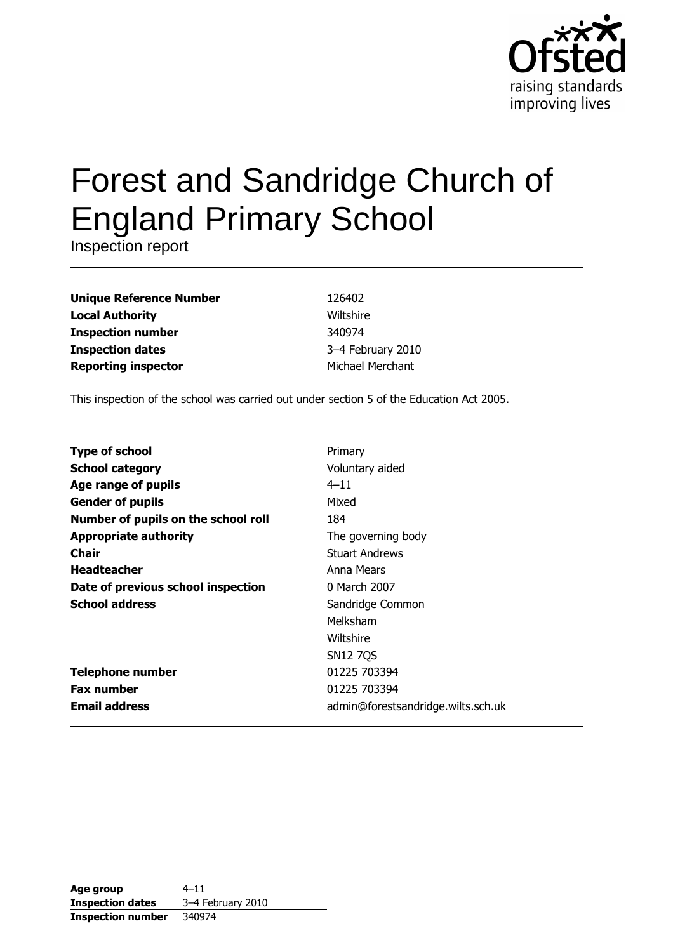

# **Forest and Sandridge Church of England Primary School**

Inspection report

| <b>Unique Reference Number</b> |  |
|--------------------------------|--|
| <b>Local Authority</b>         |  |
| <b>Inspection number</b>       |  |
| <b>Inspection dates</b>        |  |
| <b>Reporting inspector</b>     |  |

126402 Wiltshire 340974 3-4 February 2010 Michael Merchant

This inspection of the school was carried out under section 5 of the Education Act 2005.

| <b>Type of school</b>               | Primary                            |
|-------------------------------------|------------------------------------|
| <b>School category</b>              | Voluntary aided                    |
| Age range of pupils                 | $4 - 11$                           |
| <b>Gender of pupils</b>             | Mixed                              |
| Number of pupils on the school roll | 184                                |
| <b>Appropriate authority</b>        | The governing body                 |
| <b>Chair</b>                        | <b>Stuart Andrews</b>              |
| <b>Headteacher</b>                  | Anna Mears                         |
| Date of previous school inspection  | 0 March 2007                       |
| <b>School address</b>               | Sandridge Common                   |
|                                     | Melksham                           |
|                                     | Wiltshire                          |
|                                     | <b>SN12 7QS</b>                    |
| <b>Telephone number</b>             | 01225 703394                       |
| <b>Fax number</b>                   | 01225 703394                       |
| <b>Email address</b>                | admin@forestsandridge.wilts.sch.uk |

| Age group                | $4 - 11$          |
|--------------------------|-------------------|
| <b>Inspection dates</b>  | 3-4 February 2010 |
| <b>Inspection number</b> | 340974            |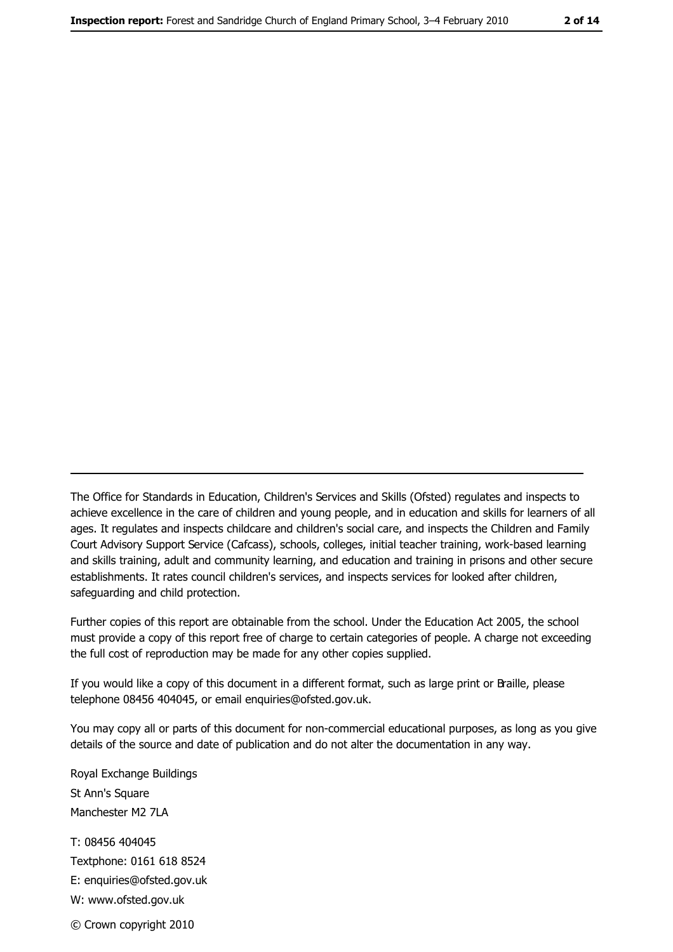The Office for Standards in Education, Children's Services and Skills (Ofsted) regulates and inspects to achieve excellence in the care of children and young people, and in education and skills for learners of all ages. It regulates and inspects childcare and children's social care, and inspects the Children and Family Court Advisory Support Service (Cafcass), schools, colleges, initial teacher training, work-based learning and skills training, adult and community learning, and education and training in prisons and other secure establishments. It rates council children's services, and inspects services for looked after children, safeguarding and child protection.

Further copies of this report are obtainable from the school. Under the Education Act 2005, the school must provide a copy of this report free of charge to certain categories of people. A charge not exceeding the full cost of reproduction may be made for any other copies supplied.

If you would like a copy of this document in a different format, such as large print or Braille, please telephone 08456 404045, or email enquiries@ofsted.gov.uk.

You may copy all or parts of this document for non-commercial educational purposes, as long as you give details of the source and date of publication and do not alter the documentation in any way.

Royal Exchange Buildings St Ann's Square Manchester M2 7LA T: 08456 404045 Textphone: 0161 618 8524 E: enquiries@ofsted.gov.uk W: www.ofsted.gov.uk © Crown copyright 2010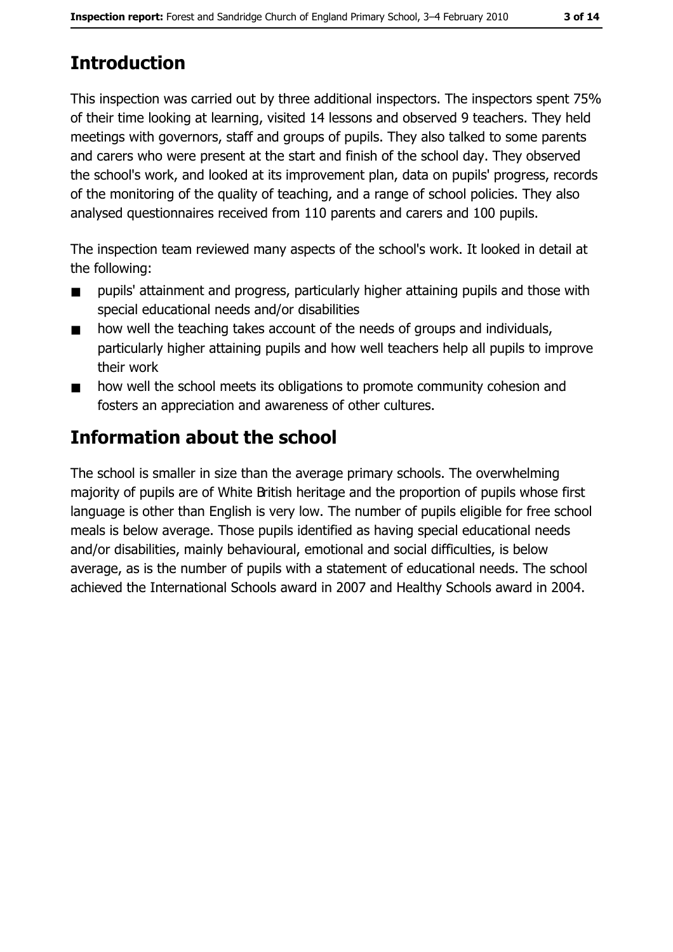# **Introduction**

This inspection was carried out by three additional inspectors. The inspectors spent 75% of their time looking at learning, visited 14 lessons and observed 9 teachers. They held meetings with governors, staff and groups of pupils. They also talked to some parents and carers who were present at the start and finish of the school day. They observed the school's work, and looked at its improvement plan, data on pupils' progress, records of the monitoring of the quality of teaching, and a range of school policies. They also analysed questionnaires received from 110 parents and carers and 100 pupils.

The inspection team reviewed many aspects of the school's work. It looked in detail at the following:

- pupils' attainment and progress, particularly higher attaining pupils and those with  $\blacksquare$ special educational needs and/or disabilities
- how well the teaching takes account of the needs of groups and individuals,  $\blacksquare$ particularly higher attaining pupils and how well teachers help all pupils to improve their work
- how well the school meets its obligations to promote community cohesion and  $\blacksquare$ fosters an appreciation and awareness of other cultures.

# **Information about the school**

The school is smaller in size than the average primary schools. The overwhelming majority of pupils are of White British heritage and the proportion of pupils whose first language is other than English is very low. The number of pupils eligible for free school meals is below average. Those pupils identified as having special educational needs and/or disabilities, mainly behavioural, emotional and social difficulties, is below average, as is the number of pupils with a statement of educational needs. The school achieved the International Schools award in 2007 and Healthy Schools award in 2004.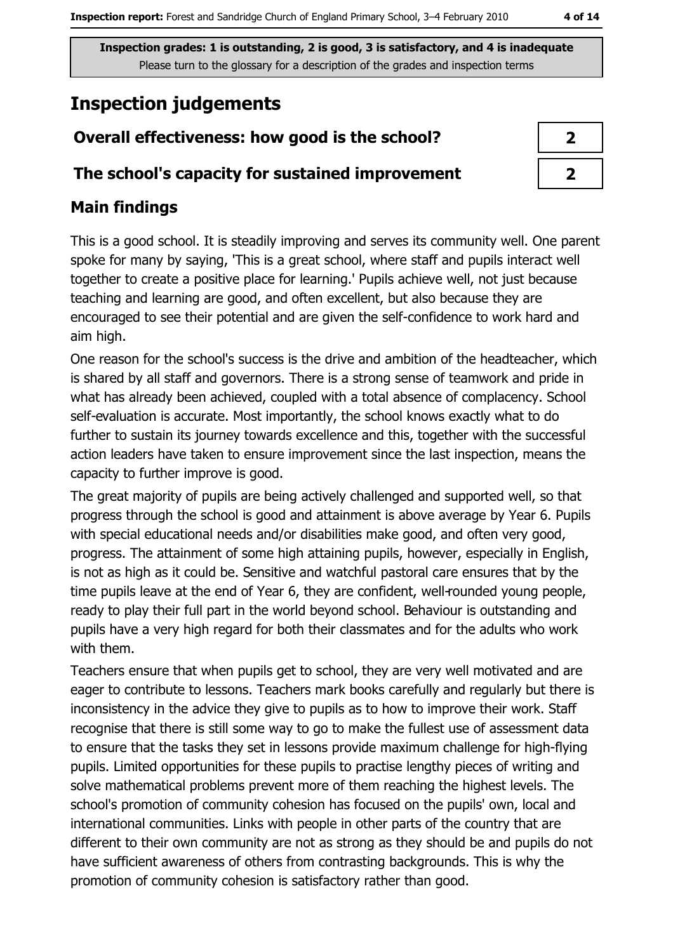# **Inspection judgements**

# Overall effectiveness: how good is the school?

### The school's capacity for sustained improvement

# **Main findings**

This is a good school. It is steadily improving and serves its community well. One parent spoke for many by saying, 'This is a great school, where staff and pupils interact well together to create a positive place for learning.' Pupils achieve well, not just because teaching and learning are good, and often excellent, but also because they are encouraged to see their potential and are given the self-confidence to work hard and aim high.

One reason for the school's success is the drive and ambition of the headteacher, which is shared by all staff and governors. There is a strong sense of teamwork and pride in what has already been achieved, coupled with a total absence of complacency. School self-evaluation is accurate. Most importantly, the school knows exactly what to do further to sustain its journey towards excellence and this, together with the successful action leaders have taken to ensure improvement since the last inspection, means the capacity to further improve is good.

The great majority of pupils are being actively challenged and supported well, so that progress through the school is good and attainment is above average by Year 6. Pupils with special educational needs and/or disabilities make good, and often very good, progress. The attainment of some high attaining pupils, however, especially in English, is not as high as it could be. Sensitive and watchful pastoral care ensures that by the time pupils leave at the end of Year 6, they are confident, well-rounded young people, ready to play their full part in the world beyond school. Behaviour is outstanding and pupils have a very high regard for both their classmates and for the adults who work with them.

Teachers ensure that when pupils get to school, they are very well motivated and are eager to contribute to lessons. Teachers mark books carefully and regularly but there is inconsistency in the advice they give to pupils as to how to improve their work. Staff recognise that there is still some way to go to make the fullest use of assessment data to ensure that the tasks they set in lessons provide maximum challenge for high-flying pupils. Limited opportunities for these pupils to practise lengthy pieces of writing and solve mathematical problems prevent more of them reaching the highest levels. The school's promotion of community cohesion has focused on the pupils' own, local and international communities. Links with people in other parts of the country that are different to their own community are not as strong as they should be and pupils do not have sufficient awareness of others from contrasting backgrounds. This is why the promotion of community cohesion is satisfactory rather than good.

| 7 |
|---|
| ♪ |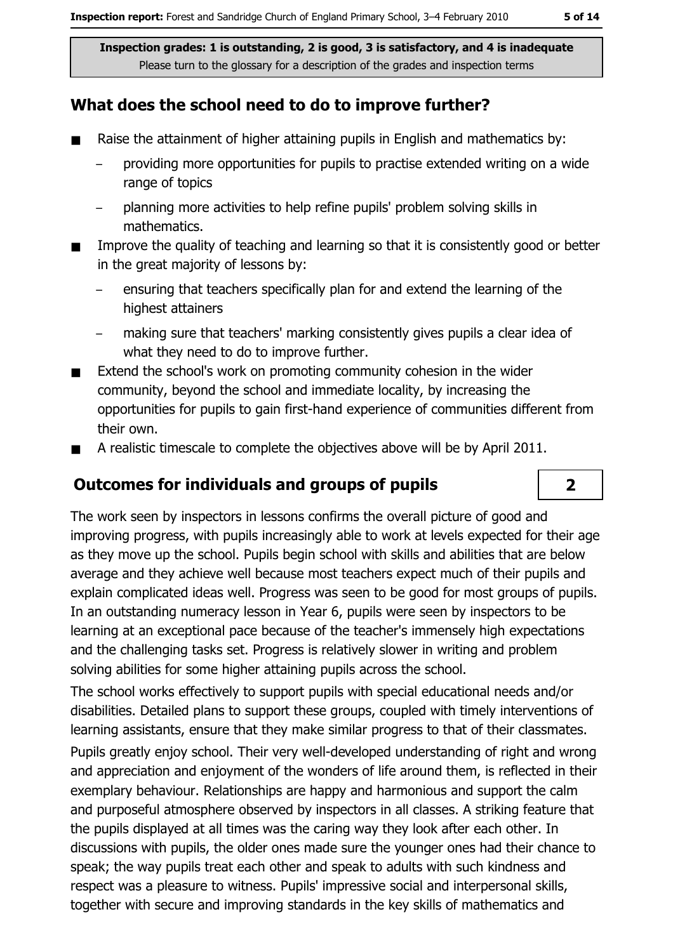# What does the school need to do to improve further?

- Raise the attainment of higher attaining pupils in English and mathematics by:  $\blacksquare$ 
	- providing more opportunities for pupils to practise extended writing on a wide range of topics
	- planning more activities to help refine pupils' problem solving skills in mathematics.
- Improve the quality of teaching and learning so that it is consistently good or better  $\blacksquare$ in the great majority of lessons by:
	- ensuring that teachers specifically plan for and extend the learning of the highest attainers
	- making sure that teachers' marking consistently gives pupils a clear idea of what they need to do to improve further.
- Extend the school's work on promoting community cohesion in the wider  $\blacksquare$ community, beyond the school and immediate locality, by increasing the opportunities for pupils to gain first-hand experience of communities different from their own.
- A realistic timescale to complete the objectives above will be by April 2011.  $\blacksquare$

# **Outcomes for individuals and groups of pupils**

The work seen by inspectors in lessons confirms the overall picture of good and improving progress, with pupils increasingly able to work at levels expected for their age as they move up the school. Pupils begin school with skills and abilities that are below average and they achieve well because most teachers expect much of their pupils and explain complicated ideas well. Progress was seen to be good for most groups of pupils. In an outstanding numeracy lesson in Year 6, pupils were seen by inspectors to be learning at an exceptional pace because of the teacher's immensely high expectations and the challenging tasks set. Progress is relatively slower in writing and problem solving abilities for some higher attaining pupils across the school.

The school works effectively to support pupils with special educational needs and/or disabilities. Detailed plans to support these groups, coupled with timely interventions of learning assistants, ensure that they make similar progress to that of their classmates. Pupils greatly enjoy school. Their very well-developed understanding of right and wrong and appreciation and enjoyment of the wonders of life around them, is reflected in their exemplary behaviour. Relationships are happy and harmonious and support the calm and purposeful atmosphere observed by inspectors in all classes. A striking feature that the pupils displayed at all times was the caring way they look after each other. In discussions with pupils, the older ones made sure the younger ones had their chance to speak; the way pupils treat each other and speak to adults with such kindness and respect was a pleasure to witness. Pupils' impressive social and interpersonal skills, together with secure and improving standards in the key skills of mathematics and

 $\overline{2}$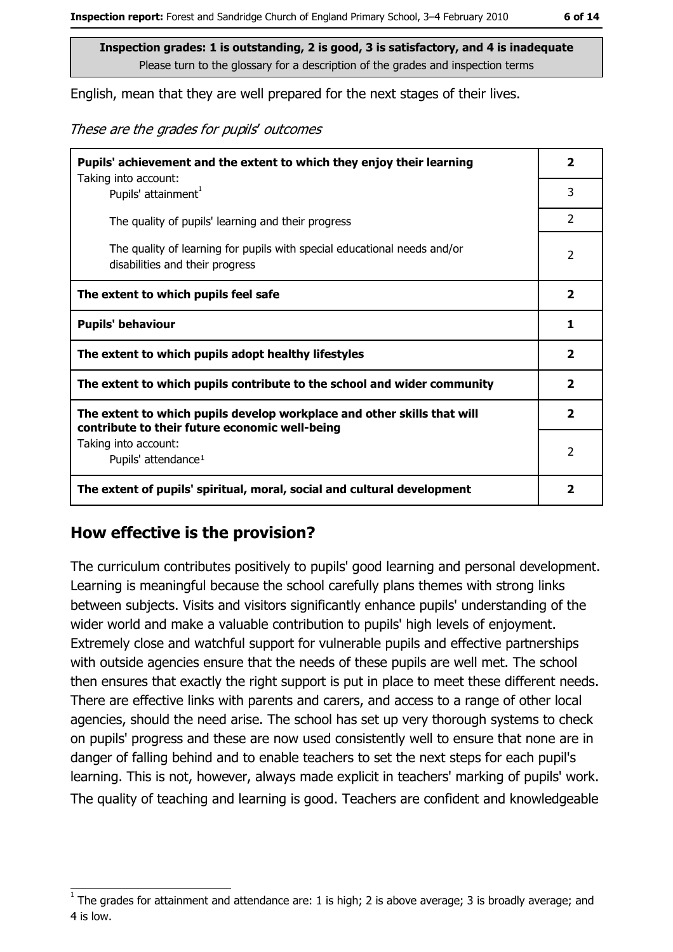English, mean that they are well prepared for the next stages of their lives.

These are the grades for pupils' outcomes

| Pupils' achievement and the extent to which they enjoy their learning                                                     |                         |
|---------------------------------------------------------------------------------------------------------------------------|-------------------------|
| Taking into account:<br>Pupils' attainment <sup>1</sup>                                                                   | 3                       |
| The quality of pupils' learning and their progress                                                                        | $\overline{2}$          |
| The quality of learning for pupils with special educational needs and/or<br>disabilities and their progress               | $\overline{2}$          |
| The extent to which pupils feel safe                                                                                      | $\overline{\mathbf{2}}$ |
| <b>Pupils' behaviour</b>                                                                                                  | 1                       |
| The extent to which pupils adopt healthy lifestyles                                                                       | $\mathbf{2}$            |
| The extent to which pupils contribute to the school and wider community                                                   | $\overline{\mathbf{2}}$ |
| The extent to which pupils develop workplace and other skills that will<br>contribute to their future economic well-being | $\mathbf{2}$            |
| Taking into account:<br>Pupils' attendance <sup>1</sup>                                                                   | $\overline{2}$          |
| The extent of pupils' spiritual, moral, social and cultural development                                                   | 2                       |

### How effective is the provision?

The curriculum contributes positively to pupils' good learning and personal development. Learning is meaningful because the school carefully plans themes with strong links between subjects. Visits and visitors significantly enhance pupils' understanding of the wider world and make a valuable contribution to pupils' high levels of enjoyment. Extremely close and watchful support for vulnerable pupils and effective partnerships with outside agencies ensure that the needs of these pupils are well met. The school then ensures that exactly the right support is put in place to meet these different needs. There are effective links with parents and carers, and access to a range of other local agencies, should the need arise. The school has set up very thorough systems to check on pupils' progress and these are now used consistently well to ensure that none are in danger of falling behind and to enable teachers to set the next steps for each pupil's learning. This is not, however, always made explicit in teachers' marking of pupils' work. The quality of teaching and learning is good. Teachers are confident and knowledgeable

The grades for attainment and attendance are: 1 is high; 2 is above average; 3 is broadly average; and 4 is low.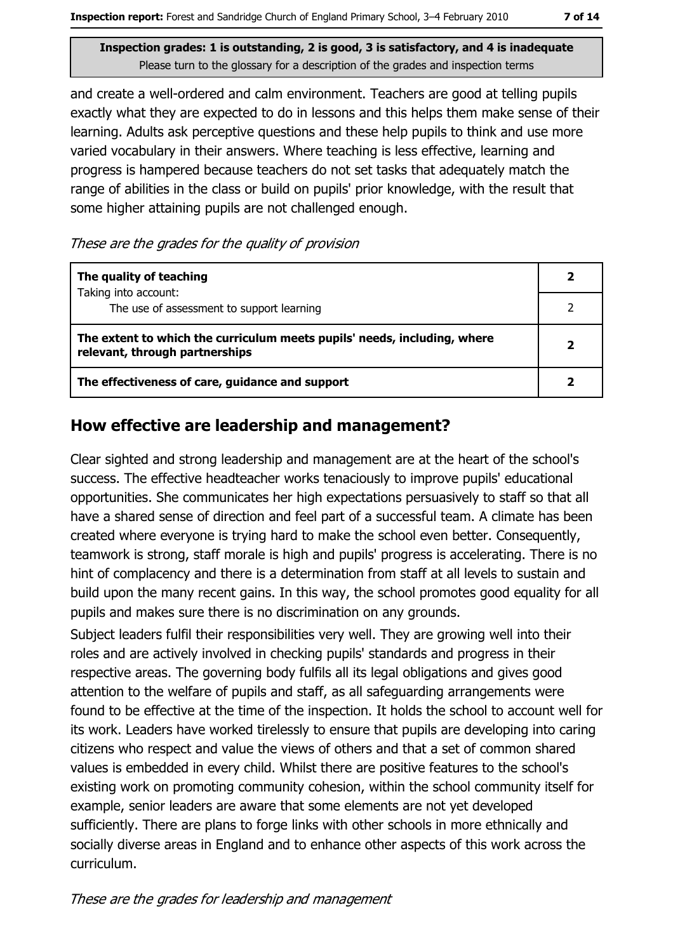and create a well-ordered and calm environment. Teachers are good at telling pupils exactly what they are expected to do in lessons and this helps them make sense of their learning. Adults ask perceptive questions and these help pupils to think and use more varied vocabulary in their answers. Where teaching is less effective, learning and progress is hampered because teachers do not set tasks that adequately match the range of abilities in the class or build on pupils' prior knowledge, with the result that some higher attaining pupils are not challenged enough.

These are the grades for the quality of provision

| The quality of teaching                                                                                    |  |
|------------------------------------------------------------------------------------------------------------|--|
| Taking into account:<br>The use of assessment to support learning                                          |  |
| The extent to which the curriculum meets pupils' needs, including, where<br>relevant, through partnerships |  |
| The effectiveness of care, guidance and support                                                            |  |

### How effective are leadership and management?

Clear sighted and strong leadership and management are at the heart of the school's success. The effective headteacher works tenaciously to improve pupils' educational opportunities. She communicates her high expectations persuasively to staff so that all have a shared sense of direction and feel part of a successful team. A climate has been created where everyone is trying hard to make the school even better. Consequently, teamwork is strong, staff morale is high and pupils' progress is accelerating. There is no hint of complacency and there is a determination from staff at all levels to sustain and build upon the many recent gains. In this way, the school promotes good equality for all pupils and makes sure there is no discrimination on any grounds.

Subject leaders fulfil their responsibilities very well. They are growing well into their roles and are actively involved in checking pupils' standards and progress in their respective areas. The governing body fulfils all its legal obligations and gives good attention to the welfare of pupils and staff, as all safeguarding arrangements were found to be effective at the time of the inspection. It holds the school to account well for its work. Leaders have worked tirelessly to ensure that pupils are developing into caring citizens who respect and value the views of others and that a set of common shared values is embedded in every child. Whilst there are positive features to the school's existing work on promoting community cohesion, within the school community itself for example, senior leaders are aware that some elements are not yet developed sufficiently. There are plans to forge links with other schools in more ethnically and socially diverse areas in England and to enhance other aspects of this work across the curriculum.

These are the grades for leadership and management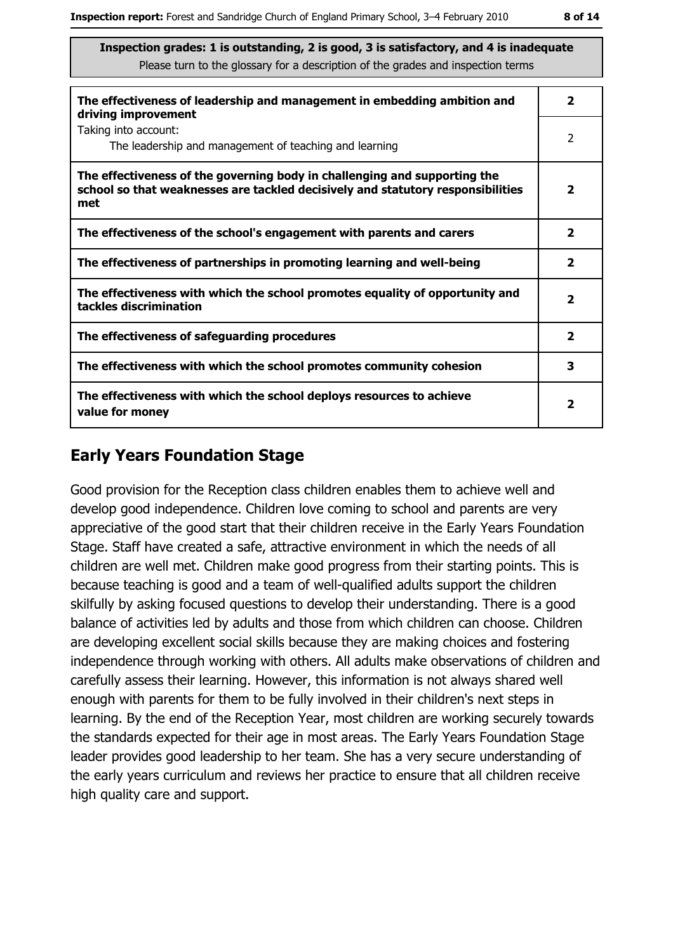| The effectiveness of leadership and management in embedding ambition and<br>driving improvement                                                                     | $\overline{\mathbf{2}}$ |
|---------------------------------------------------------------------------------------------------------------------------------------------------------------------|-------------------------|
| Taking into account:<br>The leadership and management of teaching and learning                                                                                      | 2                       |
| The effectiveness of the governing body in challenging and supporting the<br>school so that weaknesses are tackled decisively and statutory responsibilities<br>met | $\overline{\mathbf{2}}$ |
| The effectiveness of the school's engagement with parents and carers                                                                                                | $\overline{\mathbf{2}}$ |
| The effectiveness of partnerships in promoting learning and well-being                                                                                              | $\mathbf{2}$            |
| The effectiveness with which the school promotes equality of opportunity and<br>tackles discrimination                                                              | $\overline{\mathbf{2}}$ |
| The effectiveness of safeguarding procedures                                                                                                                        | $\overline{\mathbf{2}}$ |
| The effectiveness with which the school promotes community cohesion                                                                                                 | 3                       |
| The effectiveness with which the school deploys resources to achieve<br>value for money                                                                             | $\mathbf{2}$            |

# **Early Years Foundation Stage**

Good provision for the Reception class children enables them to achieve well and develop good independence. Children love coming to school and parents are very appreciative of the good start that their children receive in the Early Years Foundation Stage. Staff have created a safe, attractive environment in which the needs of all children are well met. Children make good progress from their starting points. This is because teaching is good and a team of well-qualified adults support the children skilfully by asking focused questions to develop their understanding. There is a good balance of activities led by adults and those from which children can choose. Children are developing excellent social skills because they are making choices and fostering independence through working with others. All adults make observations of children and carefully assess their learning. However, this information is not always shared well enough with parents for them to be fully involved in their children's next steps in learning. By the end of the Reception Year, most children are working securely towards the standards expected for their age in most areas. The Early Years Foundation Stage leader provides good leadership to her team. She has a very secure understanding of the early years curriculum and reviews her practice to ensure that all children receive high quality care and support.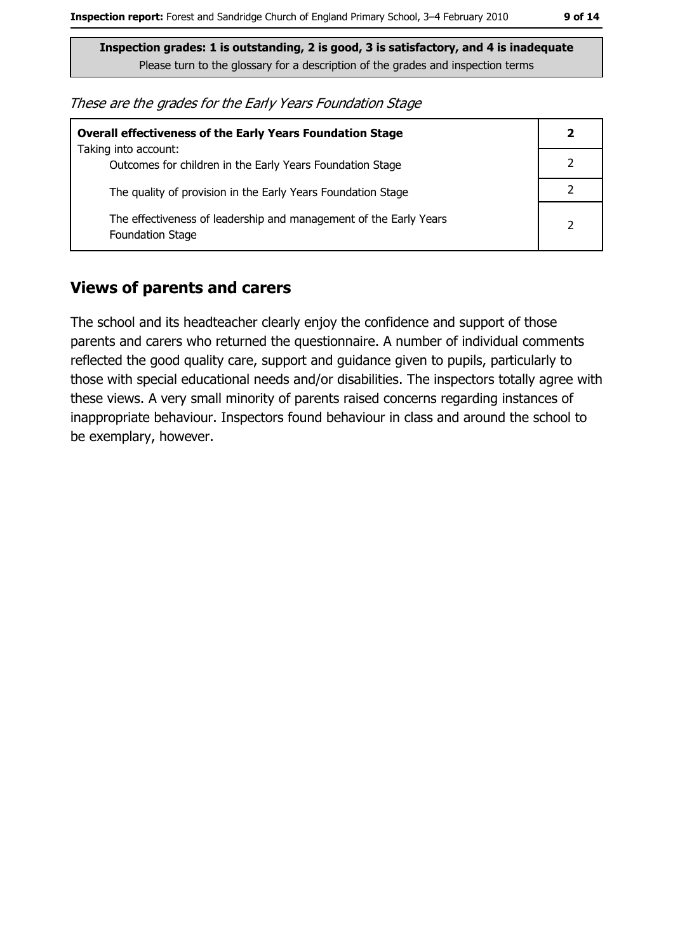These are the grades for the Early Years Foundation Stage

| <b>Overall effectiveness of the Early Years Foundation Stage</b>                             |   |
|----------------------------------------------------------------------------------------------|---|
| Taking into account:<br>Outcomes for children in the Early Years Foundation Stage            |   |
| The quality of provision in the Early Years Foundation Stage                                 |   |
| The effectiveness of leadership and management of the Early Years<br><b>Foundation Stage</b> | 2 |

### **Views of parents and carers**

The school and its headteacher clearly enjoy the confidence and support of those parents and carers who returned the questionnaire. A number of individual comments reflected the good quality care, support and guidance given to pupils, particularly to those with special educational needs and/or disabilities. The inspectors totally agree with these views. A very small minority of parents raised concerns regarding instances of inappropriate behaviour. Inspectors found behaviour in class and around the school to be exemplary, however.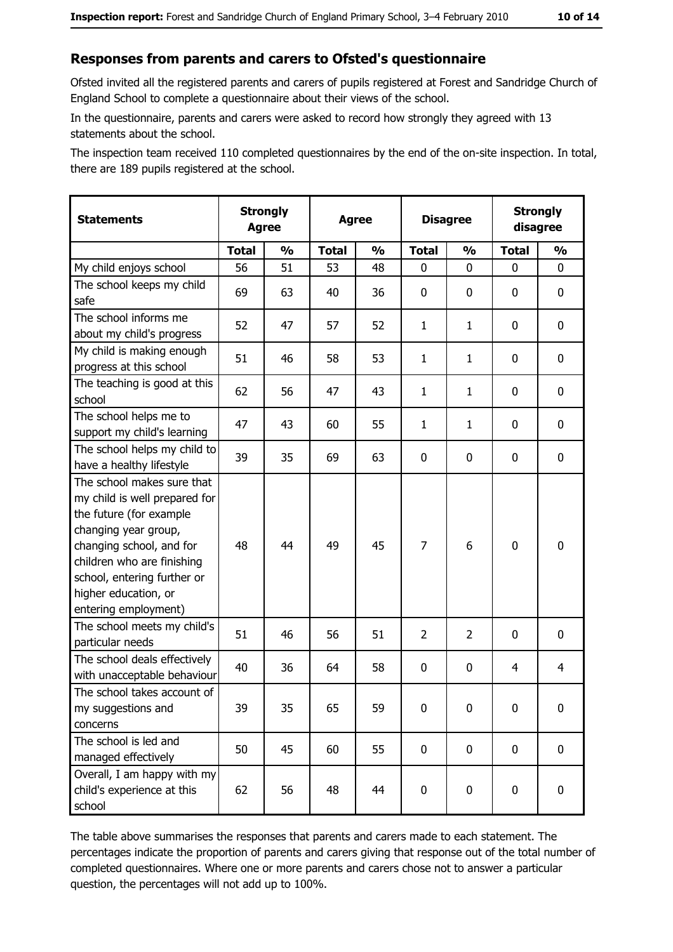#### Responses from parents and carers to Ofsted's questionnaire

Ofsted invited all the registered parents and carers of pupils registered at Forest and Sandridge Church of England School to complete a questionnaire about their views of the school.

In the questionnaire, parents and carers were asked to record how strongly they agreed with 13 statements about the school.

The inspection team received 110 completed questionnaires by the end of the on-site inspection. In total, there are 189 pupils registered at the school.

| <b>Statements</b>                                                                                                                                                                                                                                       | <b>Strongly</b><br><b>Agree</b> |               | <b>Agree</b> |               | <b>Disagree</b> |               | <b>Strongly</b><br>disagree |                  |
|---------------------------------------------------------------------------------------------------------------------------------------------------------------------------------------------------------------------------------------------------------|---------------------------------|---------------|--------------|---------------|-----------------|---------------|-----------------------------|------------------|
|                                                                                                                                                                                                                                                         | <b>Total</b>                    | $\frac{0}{0}$ | <b>Total</b> | $\frac{0}{0}$ | <b>Total</b>    | $\frac{0}{0}$ | <b>Total</b>                | $\frac{0}{0}$    |
| My child enjoys school                                                                                                                                                                                                                                  | 56                              | 51            | 53           | 48            | $\mathbf 0$     | $\Omega$      | $\mathbf{0}$                | 0                |
| The school keeps my child<br>safe                                                                                                                                                                                                                       | 69                              | 63            | 40           | 36            | $\mathbf 0$     | 0             | 0                           | $\mathbf 0$      |
| The school informs me<br>about my child's progress                                                                                                                                                                                                      | 52                              | 47            | 57           | 52            | $\mathbf{1}$    | $\mathbf{1}$  | 0                           | 0                |
| My child is making enough<br>progress at this school                                                                                                                                                                                                    | 51                              | 46            | 58           | 53            | $\mathbf{1}$    | $\mathbf{1}$  | 0                           | 0                |
| The teaching is good at this<br>school                                                                                                                                                                                                                  | 62                              | 56            | 47           | 43            | $\mathbf{1}$    | $\mathbf{1}$  | 0                           | 0                |
| The school helps me to<br>support my child's learning                                                                                                                                                                                                   | 47                              | 43            | 60           | 55            | $\mathbf{1}$    | $\mathbf{1}$  | 0                           | $\mathbf 0$      |
| The school helps my child to<br>have a healthy lifestyle                                                                                                                                                                                                | 39                              | 35            | 69           | 63            | $\mathbf 0$     | 0             | 0                           | $\mathbf 0$      |
| The school makes sure that<br>my child is well prepared for<br>the future (for example<br>changing year group,<br>changing school, and for<br>children who are finishing<br>school, entering further or<br>higher education, or<br>entering employment) | 48                              | 44            | 49           | 45            | $\overline{7}$  | 6             | $\mathbf 0$                 | $\mathbf 0$      |
| The school meets my child's<br>particular needs                                                                                                                                                                                                         | 51                              | 46            | 56           | 51            | $\overline{2}$  | 2             | 0                           | $\mathbf 0$      |
| The school deals effectively<br>with unacceptable behaviour                                                                                                                                                                                             | 40                              | 36            | 64           | 58            | $\mathbf 0$     | 0             | 4                           | 4                |
| The school takes account of<br>my suggestions and<br>concerns                                                                                                                                                                                           | 39                              | 35            | 65           | 59            | $\mathbf 0$     | 0             | 0                           | $\boldsymbol{0}$ |
| The school is led and<br>managed effectively                                                                                                                                                                                                            | 50                              | 45            | 60           | 55            | $\mathbf 0$     | $\mathbf 0$   | $\mathbf 0$                 | 0                |
| Overall, I am happy with my<br>child's experience at this<br>school                                                                                                                                                                                     | 62                              | 56            | 48           | 44            | $\pmb{0}$       | 0             | $\mathbf 0$                 | 0                |

The table above summarises the responses that parents and carers made to each statement. The percentages indicate the proportion of parents and carers giving that response out of the total number of completed questionnaires. Where one or more parents and carers chose not to answer a particular question, the percentages will not add up to 100%.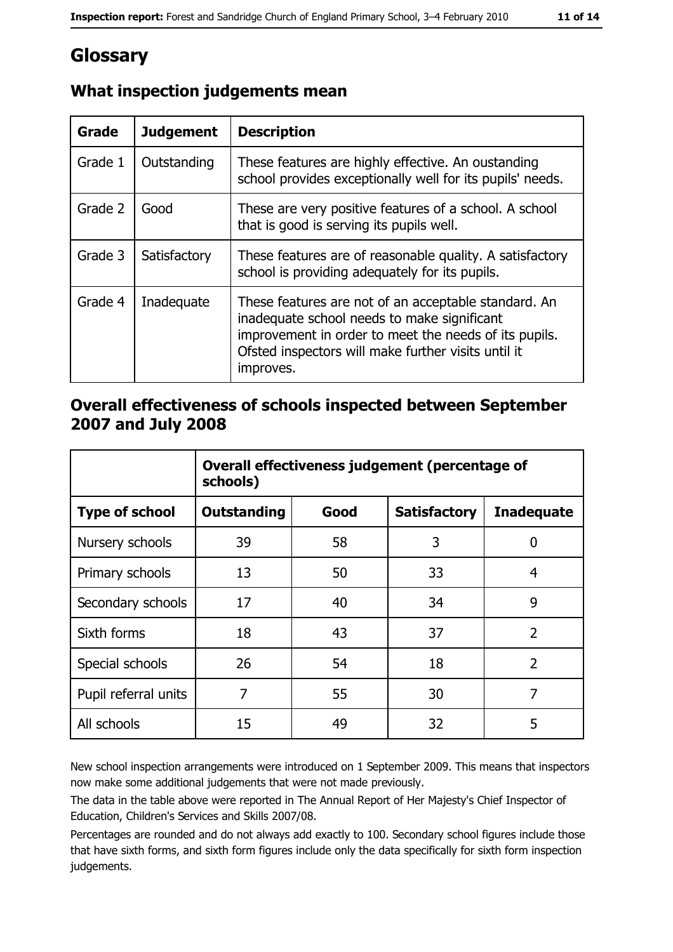# Glossary

| Grade   | <b>Judgement</b> | <b>Description</b>                                                                                                                                                                                                               |
|---------|------------------|----------------------------------------------------------------------------------------------------------------------------------------------------------------------------------------------------------------------------------|
| Grade 1 | Outstanding      | These features are highly effective. An oustanding<br>school provides exceptionally well for its pupils' needs.                                                                                                                  |
| Grade 2 | Good             | These are very positive features of a school. A school<br>that is good is serving its pupils well.                                                                                                                               |
| Grade 3 | Satisfactory     | These features are of reasonable quality. A satisfactory<br>school is providing adequately for its pupils.                                                                                                                       |
| Grade 4 | Inadequate       | These features are not of an acceptable standard. An<br>inadequate school needs to make significant<br>improvement in order to meet the needs of its pupils.<br>Ofsted inspectors will make further visits until it<br>improves. |

# What inspection judgements mean

### Overall effectiveness of schools inspected between September 2007 and July 2008

|                       | Overall effectiveness judgement (percentage of<br>schools) |      |                     |                   |
|-----------------------|------------------------------------------------------------|------|---------------------|-------------------|
| <b>Type of school</b> | <b>Outstanding</b>                                         | Good | <b>Satisfactory</b> | <b>Inadequate</b> |
| Nursery schools       | 39                                                         | 58   | 3                   | 0                 |
| Primary schools       | 13                                                         | 50   | 33                  | 4                 |
| Secondary schools     | 17                                                         | 40   | 34                  | 9                 |
| Sixth forms           | 18                                                         | 43   | 37                  | $\overline{2}$    |
| Special schools       | 26                                                         | 54   | 18                  | $\overline{2}$    |
| Pupil referral units  | 7                                                          | 55   | 30                  | 7                 |
| All schools           | 15                                                         | 49   | 32                  | 5                 |

New school inspection arrangements were introduced on 1 September 2009. This means that inspectors now make some additional judgements that were not made previously.

The data in the table above were reported in The Annual Report of Her Majesty's Chief Inspector of Education, Children's Services and Skills 2007/08.

Percentages are rounded and do not always add exactly to 100. Secondary school figures include those that have sixth forms, and sixth form figures include only the data specifically for sixth form inspection judgements.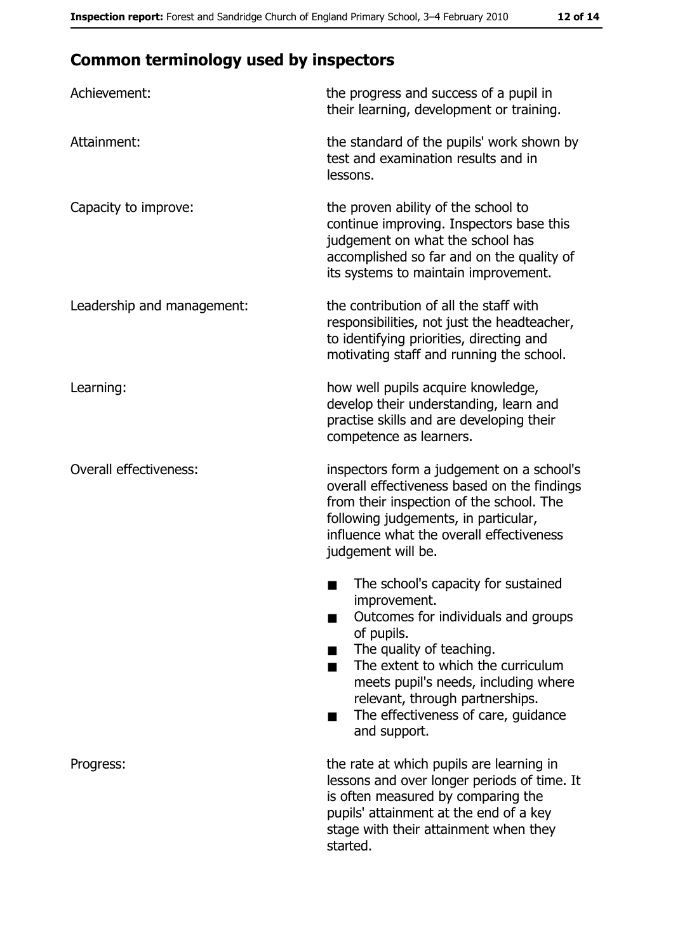# **Common terminology used by inspectors**

| Achievement:                  | the progress and success of a pupil in<br>their learning, development or training.                                                                                                                                                                                                                           |
|-------------------------------|--------------------------------------------------------------------------------------------------------------------------------------------------------------------------------------------------------------------------------------------------------------------------------------------------------------|
| Attainment:                   | the standard of the pupils' work shown by<br>test and examination results and in<br>lessons.                                                                                                                                                                                                                 |
| Capacity to improve:          | the proven ability of the school to<br>continue improving. Inspectors base this<br>judgement on what the school has<br>accomplished so far and on the quality of<br>its systems to maintain improvement.                                                                                                     |
| Leadership and management:    | the contribution of all the staff with<br>responsibilities, not just the headteacher,<br>to identifying priorities, directing and<br>motivating staff and running the school.                                                                                                                                |
| Learning:                     | how well pupils acquire knowledge,<br>develop their understanding, learn and<br>practise skills and are developing their<br>competence as learners.                                                                                                                                                          |
| <b>Overall effectiveness:</b> | inspectors form a judgement on a school's<br>overall effectiveness based on the findings<br>from their inspection of the school. The<br>following judgements, in particular,<br>influence what the overall effectiveness<br>judgement will be.                                                               |
|                               | The school's capacity for sustained<br>improvement.<br>Outcomes for individuals and groups<br>of pupils.<br>The quality of teaching.<br>The extent to which the curriculum<br>meets pupil's needs, including where<br>relevant, through partnerships.<br>The effectiveness of care, guidance<br>and support. |
| Progress:                     | the rate at which pupils are learning in<br>lessons and over longer periods of time. It<br>is often measured by comparing the<br>pupils' attainment at the end of a key<br>stage with their attainment when they<br>started.                                                                                 |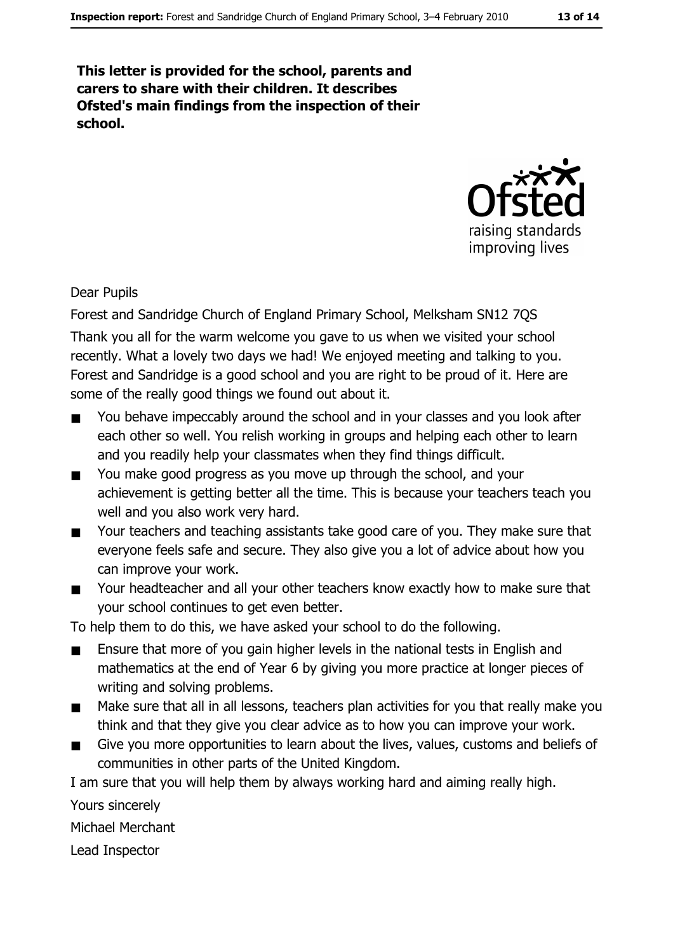This letter is provided for the school, parents and carers to share with their children. It describes Ofsted's main findings from the inspection of their school.



**Dear Pupils** 

Forest and Sandridge Church of England Primary School, Melksham SN12 7QS Thank you all for the warm welcome you gave to us when we visited your school recently. What a lovely two days we had! We enjoyed meeting and talking to you. Forest and Sandridge is a good school and you are right to be proud of it. Here are some of the really good things we found out about it.

- You behave impeccably around the school and in your classes and you look after  $\blacksquare$ each other so well. You relish working in groups and helping each other to learn and you readily help your classmates when they find things difficult.
- You make good progress as you move up through the school, and your  $\blacksquare$ achievement is getting better all the time. This is because your teachers teach you well and you also work very hard.
- Your teachers and teaching assistants take good care of you. They make sure that  $\blacksquare$ everyone feels safe and secure. They also give you a lot of advice about how you can improve your work.
- Your headteacher and all your other teachers know exactly how to make sure that your school continues to get even better.

To help them to do this, we have asked your school to do the following.

- Ensure that more of you gain higher levels in the national tests in English and  $\blacksquare$ mathematics at the end of Year 6 by giving you more practice at longer pieces of writing and solving problems.
- Make sure that all in all lessons, teachers plan activities for you that really make you  $\blacksquare$ think and that they give you clear advice as to how you can improve your work.
- Give you more opportunities to learn about the lives, values, customs and beliefs of  $\blacksquare$ communities in other parts of the United Kingdom.

I am sure that you will help them by always working hard and aiming really high.

Yours sincerely

**Michael Merchant** 

Lead Inspector